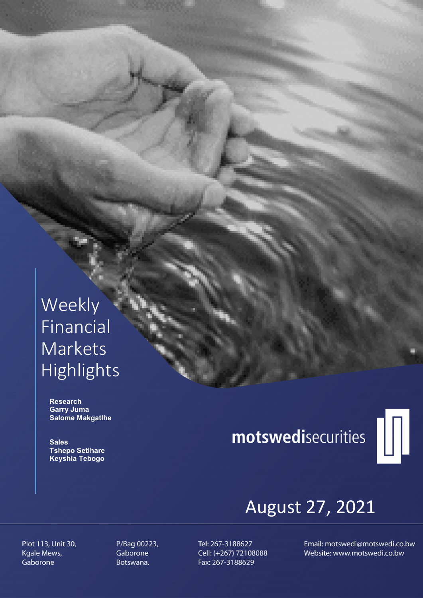# Weekly Financial Markets Highlights

 Research Garry Juma Salome Makgatlhe

**Sales**  Tshepo Setlhare Keyshia Tebogo

# motswedisecurities



# August 27, 2021

Plot 113, Unit 30, Kgale Mews, Gaborone

P/Bag 00223, Gaborone Botswana.

Tel: 267-3188627 Cell: (+267) 72108088 Fax: 267-3188629

Email: motswedi@motswedi.co.bw Website: www.motswedi.co.bw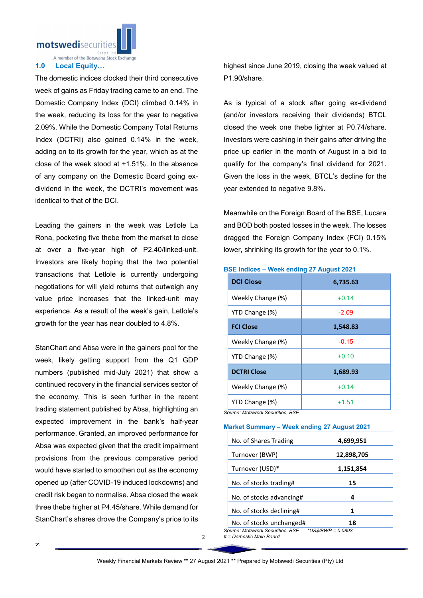motswedisecuritie

A member of the Botswana Stock Exchange

# 1.0 Local Equity…

The domestic indices clocked their third consecutive week of gains as Friday trading came to an end. The Domestic Company Index (DCI) climbed 0.14% in the week, reducing its loss for the year to negative 2.09%. While the Domestic Company Total Returns Index (DCTRI) also gained 0.14% in the week, adding on to its growth for the year, which as at the close of the week stood at +1.51%. In the absence of any company on the Domestic Board going exdividend in the week, the DCTRI's movement was identical to that of the DCI.

Leading the gainers in the week was Letlole La Rona, pocketing five thebe from the market to close at over a five-year high of P2.40/linked-unit. Investors are likely hoping that the two potential transactions that Letlole is currently undergoing negotiations for will yield returns that outweigh any value price increases that the linked-unit may experience. As a result of the week's gain, Letlole's growth for the year has near doubled to 4.8%.

StanChart and Absa were in the gainers pool for the week, likely getting support from the Q1 GDP numbers (published mid-July 2021) that show a continued recovery in the financial services sector of the economy. This is seen further in the recent trading statement published by Absa, highlighting an expected improvement in the bank's half-year performance. Granted, an improved performance for Absa was expected given that the credit impairment provisions from the previous comparative period would have started to smoothen out as the economy opened up (after COVID-19 induced lockdowns) and credit risk began to normalise. Absa closed the week three thebe higher at P4.45/share. While demand for StanChart's shares drove the Company's price to its

highest since June 2019, closing the week valued at P1.90/share.

As is typical of a stock after going ex-dividend (and/or investors receiving their dividends) BTCL closed the week one thebe lighter at P0.74/share. Investors were cashing in their gains after driving the price up earlier in the month of August in a bid to qualify for the company's final dividend for 2021. Given the loss in the week, BTCL's decline for the year extended to negative 9.8%.

Meanwhile on the Foreign Board of the BSE, Lucara and BOD both posted losses in the week. The losses dragged the Foreign Company Index (FCI) 0.15% lower, shrinking its growth for the year to 0.1%.

# BSE Indices – Week ending 27 August 2021

| <b>DCI Close</b>   | 6,735.63 |  |  |  |
|--------------------|----------|--|--|--|
| Weekly Change (%)  | $+0.14$  |  |  |  |
| YTD Change (%)     | -2.09    |  |  |  |
| <b>FCI Close</b>   | 1,548.83 |  |  |  |
| Weekly Change (%)  | $-0.15$  |  |  |  |
| YTD Change (%)     | $+0.10$  |  |  |  |
| <b>DCTRI Close</b> | 1,689.93 |  |  |  |
| Weekly Change (%)  | $+0.14$  |  |  |  |
| YTD Change (%)     | $+1.51$  |  |  |  |

*Source: Motswedi Securities, BSE*

# Market Summary – Week ending 27 August 2021

| No. of Shares Trading    | 4,699,951  |
|--------------------------|------------|
| Turnover (BWP)           | 12,898,705 |
| Turnover (USD)*          | 1,151,854  |
| No. of stocks trading#   | 15         |
| No. of stocks advancing# | 4          |
| No. of stocks declining# | 1          |
| No. of stocks unchanged# | 18         |

*Source: Motswedi Securities, BSE \*US\$/BWP = 0.0893 # = Domestic Main Board*

 $\overline{2}$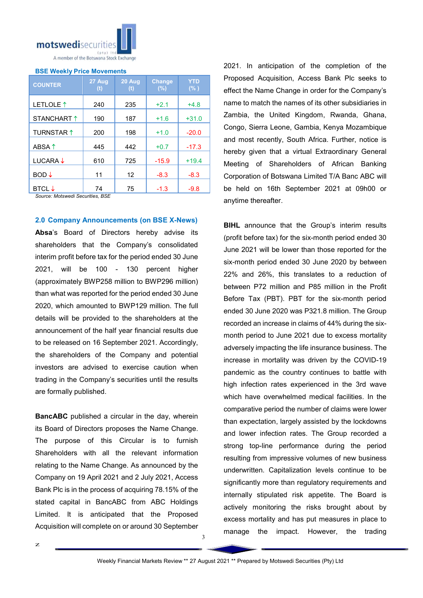

#### BSE Weekly Price Movements

| <b>COUNTER</b>           | 27 Aug<br>(t) | 20 Aug<br>(t) | <b>Change</b><br>(%) | <b>YTD</b><br>(% ) |
|--------------------------|---------------|---------------|----------------------|--------------------|
| LETLOLE 1                | 240           | 235           | $+2.1$               | $+4.8$             |
| STANCHART 1              | 190           | 187           | $+1.6$               | $+31.0$            |
| <b>TURNSTAR 1</b>        | 200           | 198           | $+1.0$               | $-20.0$            |
| ABSA 1                   | 445           | 442           | $+0.7$               | $-17.3$            |
| LUCARA $\downarrow$      | 610           | 725           | $-15.9$              | $+19.4$            |
| $BOD \downarrow$         | 11            | 12            | $-8.3$               | $-8.3$             |
| <b>BTCL</b> $\downarrow$ | 74            | 75            | $-1.3$               | $-9.8$             |

*Source: Motswedi Securities, BSE* 

2.0 Company Announcements (on BSE X-News)

Absa's Board of Directors hereby advise its shareholders that the Company's consolidated interim profit before tax for the period ended 30 June 2021, will be 100 - 130 percent higher (approximately BWP258 million to BWP296 million) than what was reported for the period ended 30 June 2020, which amounted to BWP129 million. The full details will be provided to the shareholders at the announcement of the half year financial results due to be released on 16 September 2021. Accordingly, the shareholders of the Company and potential investors are advised to exercise caution when trading in the Company's securities until the results are formally published.

BancABC published a circular in the day, wherein its Board of Directors proposes the Name Change. The purpose of this Circular is to furnish Shareholders with all the relevant information relating to the Name Change. As announced by the Company on 19 April 2021 and 2 July 2021, Access Bank Plc is in the process of acquiring 78.15% of the stated capital in BancABC from ABC Holdings Limited. It is anticipated that the Proposed Acquisition will complete on or around 30 September

z

2021. In anticipation of the completion of the Proposed Acquisition, Access Bank Plc seeks to effect the Name Change in order for the Company's name to match the names of its other subsidiaries in Zambia, the United Kingdom, Rwanda, Ghana, Congo, Sierra Leone, Gambia, Kenya Mozambique and most recently, South Africa. Further, notice is hereby given that a virtual Extraordinary General Meeting of Shareholders of African Banking Corporation of Botswana Limited T/A Banc ABC will be held on 16th September 2021 at 09h00 or anytime thereafter.

**BIHL** announce that the Group's interim results (profit before tax) for the six-month period ended 30 June 2021 will be lower than those reported for the six-month period ended 30 June 2020 by between 22% and 26%, this translates to a reduction of between P72 million and P85 million in the Profit Before Tax (PBT). PBT for the six-month period ended 30 June 2020 was P321.8 million. The Group recorded an increase in claims of 44% during the sixmonth period to June 2021 due to excess mortality adversely impacting the life insurance business. The increase in mortality was driven by the COVID-19 pandemic as the country continues to battle with high infection rates experienced in the 3rd wave which have overwhelmed medical facilities. In the comparative period the number of claims were lower than expectation, largely assisted by the lockdowns and lower infection rates. The Group recorded a strong top-line performance during the period resulting from impressive volumes of new business underwritten. Capitalization levels continue to be significantly more than regulatory requirements and internally stipulated risk appetite. The Board is actively monitoring the risks brought about by excess mortality and has put measures in place to manage the impact. However, the trading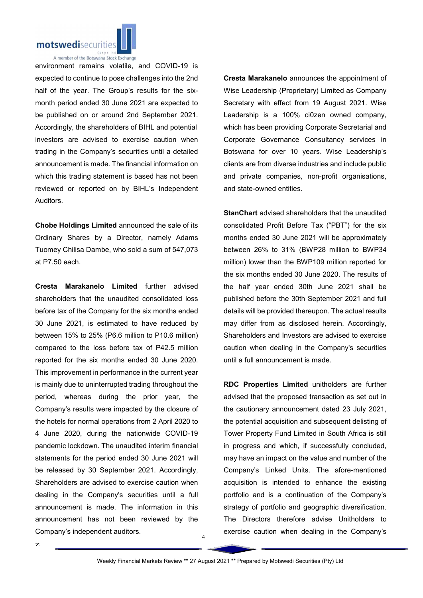

A member of the Botswana Stock Exchange

environment remains volatile, and COVID-19 is expected to continue to pose challenges into the 2nd half of the year. The Group's results for the sixmonth period ended 30 June 2021 are expected to be published on or around 2nd September 2021. Accordingly, the shareholders of BIHL and potential investors are advised to exercise caution when trading in the Company's securities until a detailed announcement is made. The financial information on which this trading statement is based has not been reviewed or reported on by BIHL's Independent Auditors.

Chobe Holdings Limited announced the sale of its Ordinary Shares by a Director, namely Adams Tuomey Chilisa Dambe, who sold a sum of 547,073 at P7.50 each.

Cresta Marakanelo Limited further advised shareholders that the unaudited consolidated loss before tax of the Company for the six months ended 30 June 2021, is estimated to have reduced by between 15% to 25% (P6.6 million to P10.6 million) compared to the loss before tax of P42.5 million reported for the six months ended 30 June 2020. This improvement in performance in the current year is mainly due to uninterrupted trading throughout the period, whereas during the prior year, the Company's results were impacted by the closure of the hotels for normal operations from 2 April 2020 to 4 June 2020, during the nationwide COVID-19 pandemic lockdown. The unaudited interim financial statements for the period ended 30 June 2021 will be released by 30 September 2021. Accordingly, Shareholders are advised to exercise caution when dealing in the Company's securities until a full announcement is made. The information in this announcement has not been reviewed by the Company's independent auditors.

z

Cresta Marakanelo announces the appointment of Wise Leadership (Proprietary) Limited as Company Secretary with effect from 19 August 2021. Wise Leadership is a 100% ci0zen owned company, which has been providing Corporate Secretarial and Corporate Governance Consultancy services in Botswana for over 10 years. Wise Leadership's clients are from diverse industries and include public and private companies, non-profit organisations, and state-owned entities.

StanChart advised shareholders that the unaudited consolidated Profit Before Tax ("PBT") for the six months ended 30 June 2021 will be approximately between 26% to 31% (BWP28 million to BWP34 million) lower than the BWP109 million reported for the six months ended 30 June 2020. The results of the half year ended 30th June 2021 shall be published before the 30th September 2021 and full details will be provided thereupon. The actual results may differ from as disclosed herein. Accordingly, Shareholders and Investors are advised to exercise caution when dealing in the Company's securities until a full announcement is made.

RDC Properties Limited unitholders are further advised that the proposed transaction as set out in the cautionary announcement dated 23 July 2021, the potential acquisition and subsequent delisting of Tower Property Fund Limited in South Africa is still in progress and which, if successfully concluded, may have an impact on the value and number of the Company's Linked Units. The afore-mentioned acquisition is intended to enhance the existing portfolio and is a continuation of the Company's strategy of portfolio and geographic diversification. The Directors therefore advise Unitholders to exercise caution when dealing in the Company's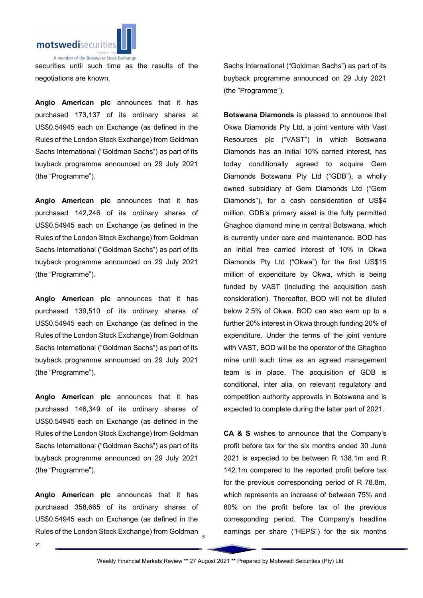

securities until such time as the results of the negotiations are known.

Anglo American plc announces that it has purchased 173,137 of its ordinary shares at US\$0.54945 each on Exchange (as defined in the Rules of the London Stock Exchange) from Goldman Sachs International ("Goldman Sachs") as part of its buyback programme announced on 29 July 2021 (the "Programme").

Anglo American plc announces that it has purchased 142,246 of its ordinary shares of US\$0.54945 each on Exchange (as defined in the Rules of the London Stock Exchange) from Goldman Sachs International ("Goldman Sachs") as part of its buyback programme announced on 29 July 2021 (the "Programme").

Anglo American plc announces that it has purchased 139,510 of its ordinary shares of US\$0.54945 each on Exchange (as defined in the Rules of the London Stock Exchange) from Goldman Sachs International ("Goldman Sachs") as part of its buyback programme announced on 29 July 2021 (the "Programme").

Anglo American plc announces that it has purchased 146,349 of its ordinary shares of US\$0.54945 each on Exchange (as defined in the Rules of the London Stock Exchange) from Goldman Sachs International ("Goldman Sachs") as part of its buyback programme announced on 29 July 2021 (the "Programme").

Rules of the London Stock Exchange) from Goldman Anglo American plc announces that it has purchased 358,665 of its ordinary shares of US\$0.54945 each on Exchange (as defined in the

Sachs International ("Goldman Sachs") as part of its buyback programme announced on 29 July 2021 (the "Programme").

Botswana Diamonds is pleased to announce that Okwa Diamonds Pty Ltd, a joint venture with Vast Resources plc ("VAST") in which Botswana Diamonds has an initial 10% carried interest, has today conditionally agreed to acquire Gem Diamonds Botswana Pty Ltd ("GDB"), a wholly owned subsidiary of Gem Diamonds Ltd ("Gem Diamonds"), for a cash consideration of US\$4 million. GDB's primary asset is the fully permitted Ghaghoo diamond mine in central Botswana, which is currently under care and maintenance. BOD has an initial free carried interest of 10% in Okwa Diamonds Pty Ltd ("Okwa") for the first US\$15 million of expenditure by Okwa, which is being funded by VAST (including the acquisition cash consideration). Thereafter, BOD will not be diluted below 2.5% of Okwa. BOD can also earn up to a further 20% interest in Okwa through funding 20% of expenditure. Under the terms of the joint venture with VAST, BOD will be the operator of the Ghaghoo mine until such time as an agreed management team is in place. The acquisition of GDB is conditional, inter alia, on relevant regulatory and competition authority approvals in Botswana and is expected to complete during the latter part of 2021.

CA & S wishes to announce that the Company's profit before tax for the six months ended 30 June 2021 is expected to be between R 138.1m and R 142.1m compared to the reported profit before tax for the previous corresponding period of R 78.8m, which represents an increase of between 75% and 80% on the profit before tax of the previous corresponding period. The Company's headline earnings per share ("HEPS") for the six months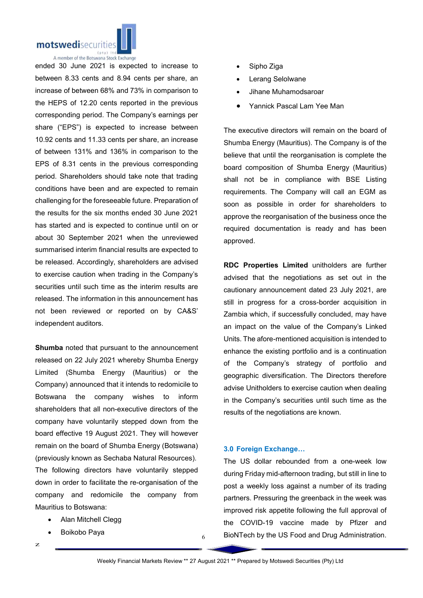

A member of the Botswana Stock Exchange

ended 30 June 2021 is expected to increase to between 8.33 cents and 8.94 cents per share, an increase of between 68% and 73% in comparison to the HEPS of 12.20 cents reported in the previous corresponding period. The Company's earnings per share ("EPS") is expected to increase between 10.92 cents and 11.33 cents per share, an increase of between 131% and 136% in comparison to the EPS of 8.31 cents in the previous corresponding period. Shareholders should take note that trading conditions have been and are expected to remain challenging for the foreseeable future. Preparation of the results for the six months ended 30 June 2021 has started and is expected to continue until on or about 30 September 2021 when the unreviewed summarised interim financial results are expected to be released. Accordingly, shareholders are advised to exercise caution when trading in the Company's securities until such time as the interim results are released. The information in this announcement has not been reviewed or reported on by CA&S' independent auditors.

Shumba noted that pursuant to the announcement released on 22 July 2021 whereby Shumba Energy Limited (Shumba Energy (Mauritius) or the Company) announced that it intends to redomicile to Botswana the company wishes to inform shareholders that all non-executive directors of the company have voluntarily stepped down from the board effective 19 August 2021. They will however remain on the board of Shumba Energy (Botswana) (previously known as Sechaba Natural Resources). The following directors have voluntarily stepped down in order to facilitate the re-organisation of the company and redomicile the company from Mauritius to Botswana:

- Alan Mitchell Clegg
- Boikobo Paya

Sipho Ziga

- Lerang Selolwane
- Jihane Muhamodsaroar
- Yannick Pascal Lam Yee Man

The executive directors will remain on the board of Shumba Energy (Mauritius). The Company is of the believe that until the reorganisation is complete the board composition of Shumba Energy (Mauritius) shall not be in compliance with BSE Listing requirements. The Company will call an EGM as soon as possible in order for shareholders to approve the reorganisation of the business once the required documentation is ready and has been approved.

RDC Properties Limited unitholders are further advised that the negotiations as set out in the cautionary announcement dated 23 July 2021, are still in progress for a cross-border acquisition in Zambia which, if successfully concluded, may have an impact on the value of the Company's Linked Units. The afore-mentioned acquisition is intended to enhance the existing portfolio and is a continuation of the Company's strategy of portfolio and geographic diversification. The Directors therefore advise Unitholders to exercise caution when dealing in the Company's securities until such time as the results of the negotiations are known.

### 3.0 Foreign Exchange…

The US dollar rebounded from a one-week low during Friday mid-afternoon trading, but still in line to post a weekly loss against a number of its trading partners. Pressuring the greenback in the week was improved risk appetite following the full approval of the COVID-19 vaccine made by Pfizer and BioNTech by the US Food and Drug Administration.

6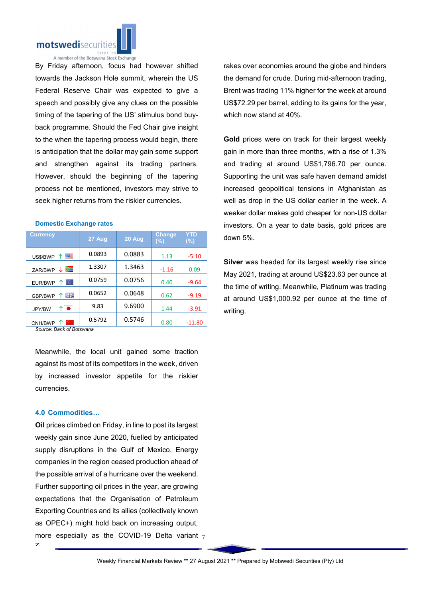

By Friday afternoon, focus had however shifted towards the Jackson Hole summit, wherein the US Federal Reserve Chair was expected to give a speech and possibly give any clues on the possible timing of the tapering of the US' stimulus bond buyback programme. Should the Fed Chair give insight to the when the tapering process would begin, there is anticipation that the dollar may gain some support and strengthen against its trading partners. However, should the beginning of the tapering process not be mentioned, investors may strive to seek higher returns from the riskier currencies.

| <b>Currency</b>    | 27 Aug | 20 Aug | Change<br>$(\% )$ | YTD<br>$(\% )$ |
|--------------------|--------|--------|-------------------|----------------|
| 罂<br>US\$/BWP      | 0.0893 | 0.0883 | 1.13              | $-5.10$        |
| ⋝⊒<br>↓<br>ZAR/BWP | 1.3307 | 1.3463 | $-1.16$           | 0.09           |
| ю.<br>EUR/BWP      | 0.0759 | 0.0756 | 0.40              | $-9.64$        |
| 픪똟<br>GBP/BWP      | 0.0652 | 0.0648 | 0.62              | $-9.19$        |
| ↑●<br>JPY/BW       | 9.83   | 9.6900 | 1.44              | $-3.91$        |
| CNH/BWP            | 0.5792 | 0.5746 | 0.80              | $-11.80$       |

# Domestic Exchange rates

*Source: Bank of Botswana*

Meanwhile, the local unit gained some traction against its most of its competitors in the week, driven by increased investor appetite for the riskier currencies.

#### 4.0 Commodities…

more especially as the COVID-19 Delta variant  $_7$ Oil prices climbed on Friday, in line to post its largest weekly gain since June 2020, fuelled by anticipated supply disruptions in the Gulf of Mexico. Energy companies in the region ceased production ahead of the possible arrival of a hurricane over the weekend. Further supporting oil prices in the year, are growing expectations that the Organisation of Petroleum Exporting Countries and its allies (collectively known as OPEC+) might hold back on increasing output,

rakes over economies around the globe and hinders the demand for crude. During mid-afternoon trading, Brent was trading 11% higher for the week at around US\$72.29 per barrel, adding to its gains for the year, which now stand at 40%.

Gold prices were on track for their largest weekly gain in more than three months, with a rise of 1.3% and trading at around US\$1,796.70 per ounce. Supporting the unit was safe haven demand amidst increased geopolitical tensions in Afghanistan as well as drop in the US dollar earlier in the week. A weaker dollar makes gold cheaper for non-US dollar investors. On a year to date basis, gold prices are down 5%.

Silver was headed for its largest weekly rise since May 2021, trading at around US\$23.63 per ounce at the time of writing. Meanwhile, Platinum was trading at around US\$1,000.92 per ounce at the time of writing.